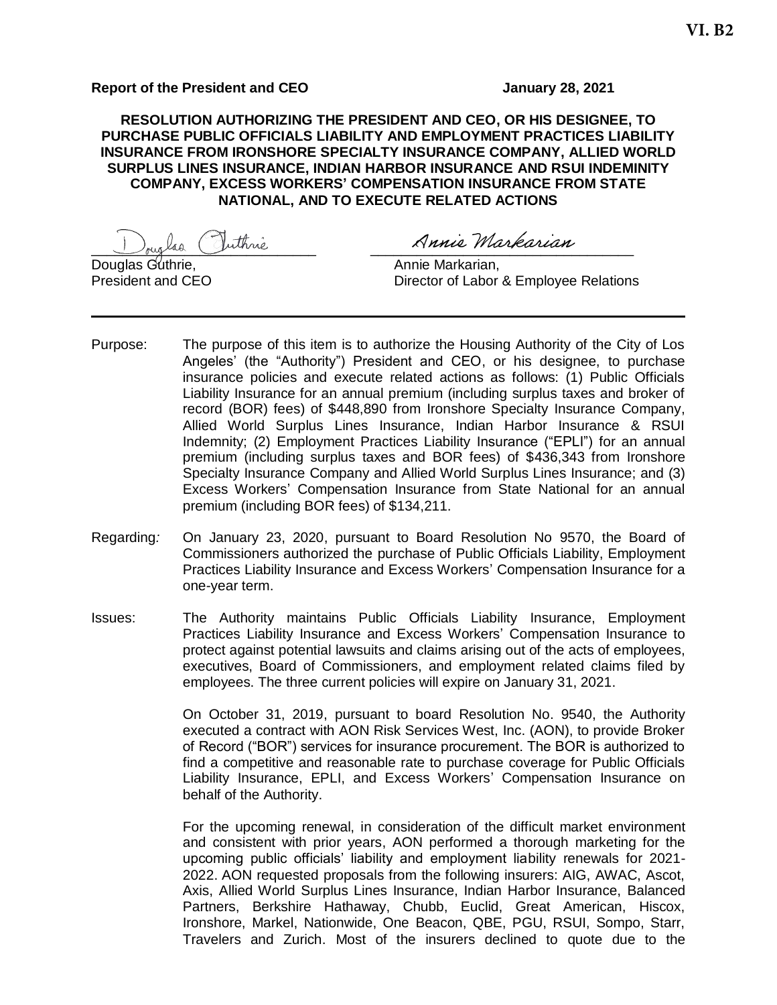## **Report of the President and CEO January 28, 2021**

**RESOLUTION AUTHORIZING THE PRESIDENT AND CEO, OR HIS DESIGNEE, TO PURCHASE PUBLIC OFFICIALS LIABILITY AND EMPLOYMENT PRACTICES LIABILITY INSURANCE FROM IRONSHORE SPECIALTY INSURANCE COMPANY, ALLIED WORLD SURPLUS LINES INSURANCE, INDIAN HARBOR INSURANCE AND RSUI INDEMINITY COMPANY, EXCESS WORKERS' COMPENSATION INSURANCE FROM STATE NATIONAL, AND TO EXECUTE RELATED ACTIONS**

 $\cup$ riglas Julhne and Arme Markarian

Douglas Guthrie, Annie Markarian, Annie Markarian, Annie Markarian, Annie Markarian, Annie Markarian, Annie Ma

Director of Labor & Employee Relations

- Purpose: The purpose of this item is to authorize the Housing Authority of the City of Los Angeles' (the "Authority") President and CEO, or his designee, to purchase insurance policies and execute related actions as follows: (1) Public Officials Liability Insurance for an annual premium (including surplus taxes and broker of record (BOR) fees) of \$448,890 from Ironshore Specialty Insurance Company, Allied World Surplus Lines Insurance, Indian Harbor Insurance & RSUI Indemnity; (2) Employment Practices Liability Insurance ("EPLI") for an annual premium (including surplus taxes and BOR fees) of \$436,343 from Ironshore Specialty Insurance Company and Allied World Surplus Lines Insurance; and (3) Excess Workers' Compensation Insurance from State National for an annual premium (including BOR fees) of \$134,211.
- Regarding*:* On January 23, 2020, pursuant to Board Resolution No 9570, the Board of Commissioners authorized the purchase of Public Officials Liability, Employment Practices Liability Insurance and Excess Workers' Compensation Insurance for a one-year term.
- Issues: The Authority maintains Public Officials Liability Insurance, Employment Practices Liability Insurance and Excess Workers' Compensation Insurance to protect against potential lawsuits and claims arising out of the acts of employees, executives, Board of Commissioners, and employment related claims filed by employees. The three current policies will expire on January 31, 2021.

On October 31, 2019, pursuant to board Resolution No. 9540, the Authority executed a contract with AON Risk Services West, Inc. (AON), to provide Broker of Record ("BOR") services for insurance procurement. The BOR is authorized to find a competitive and reasonable rate to purchase coverage for Public Officials Liability Insurance, EPLI, and Excess Workers' Compensation Insurance on behalf of the Authority.

For the upcoming renewal, in consideration of the difficult market environment and consistent with prior years, AON performed a thorough marketing for the upcoming public officials' liability and employment liability renewals for 2021- 2022. AON requested proposals from the following insurers: AIG, AWAC, Ascot, Axis, Allied World Surplus Lines Insurance, Indian Harbor Insurance, Balanced Partners, Berkshire Hathaway, Chubb, Euclid, Great American, Hiscox, Ironshore, Markel, Nationwide, One Beacon, QBE, PGU, RSUI, Sompo, Starr, Travelers and Zurich. Most of the insurers declined to quote due to the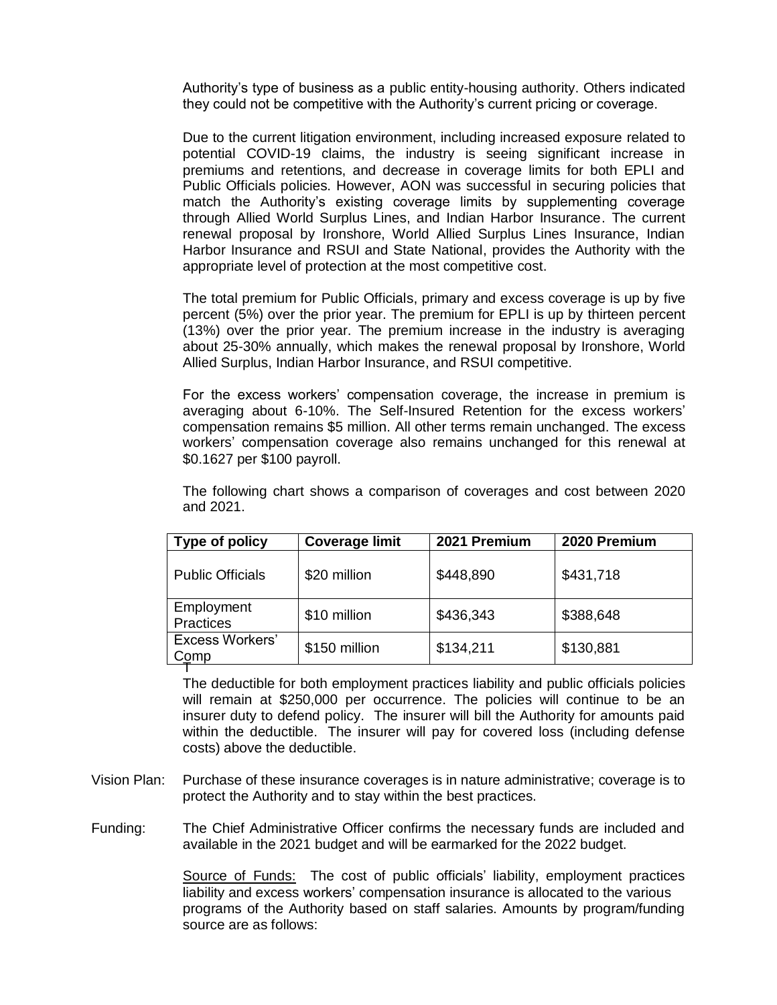Authority's type of business as a public entity-housing authority. Others indicated they could not be competitive with the Authority's current pricing or coverage.

Due to the current litigation environment, including increased exposure related to potential COVID-19 claims, the industry is seeing significant increase in premiums and retentions, and decrease in coverage limits for both EPLI and Public Officials policies. However, AON was successful in securing policies that match the Authority's existing coverage limits by supplementing coverage through Allied World Surplus Lines, and Indian Harbor Insurance. The current renewal proposal by Ironshore, World Allied Surplus Lines Insurance, Indian Harbor Insurance and RSUI and State National, provides the Authority with the appropriate level of protection at the most competitive cost.

The total premium for Public Officials, primary and excess coverage is up by five percent (5%) over the prior year. The premium for EPLI is up by thirteen percent (13%) over the prior year. The premium increase in the industry is averaging about 25-30% annually, which makes the renewal proposal by Ironshore, World Allied Surplus, Indian Harbor Insurance, and RSUI competitive.

For the excess workers' compensation coverage, the increase in premium is averaging about 6-10%. The Self-Insured Retention for the excess workers' compensation remains \$5 million. All other terms remain unchanged. The excess workers' compensation coverage also remains unchanged for this renewal at \$0.1627 per \$100 payroll.

| Type of policy                 | <b>Coverage limit</b> | 2021 Premium | 2020 Premium |  |  |  |
|--------------------------------|-----------------------|--------------|--------------|--|--|--|
| <b>Public Officials</b>        | \$20 million          | \$448,890    | \$431,718    |  |  |  |
| Employment<br><b>Practices</b> | \$10 million          | \$436,343    | \$388,648    |  |  |  |
| <b>Excess Workers'</b><br>Comp | \$150 million         | \$134,211    | \$130,881    |  |  |  |
|                                |                       |              |              |  |  |  |

The following chart shows a comparison of coverages and cost between 2020 and 2021.

The deductible for both employment practices liability and public officials policies will remain at \$250,000 per occurrence. The policies will continue to be an insurer duty to defend policy. The insurer will bill the Authority for amounts paid within the deductible. The insurer will pay for covered loss (including defense costs) above the deductible.

Vision Plan: Purchase of these insurance coverages is in nature administrative; coverage is to protect the Authority and to stay within the best practices.

Funding: The Chief Administrative Officer confirms the necessary funds are included and available in the 2021 budget and will be earmarked for the 2022 budget.

> Source of Funds: The cost of public officials' liability, employment practices liability and excess workers' compensation insurance is allocated to the various programs of the Authority based on staff salaries. Amounts by program/funding source are as follows: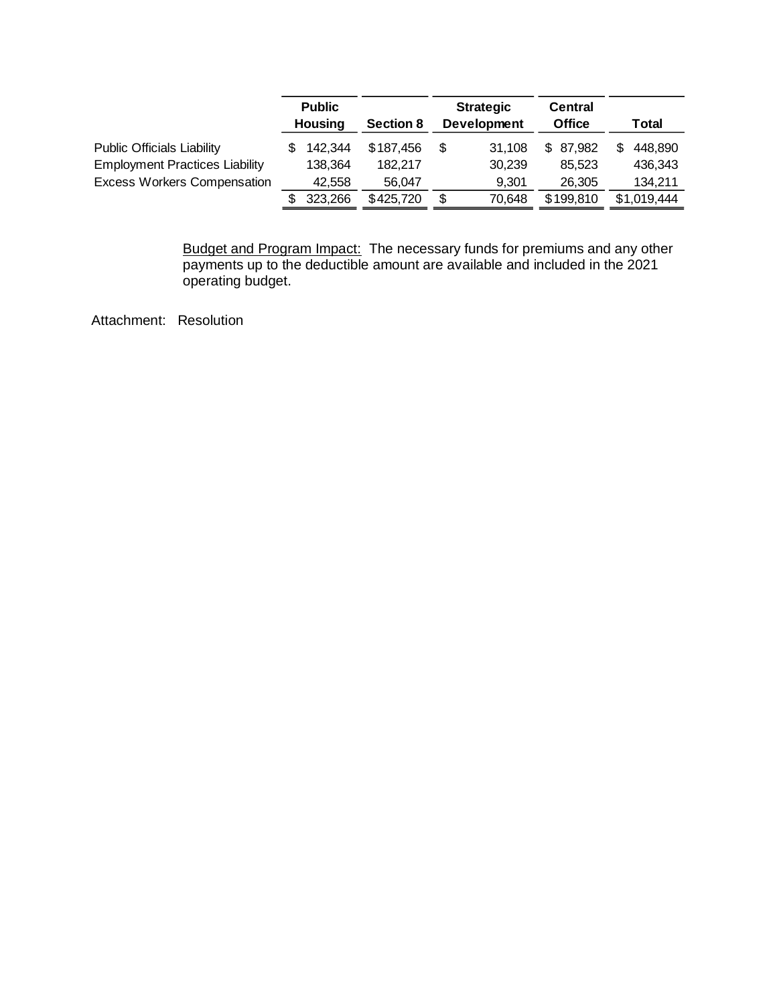|                                       | <b>Public</b><br>Housing |         | <b>Section 8</b> | <b>Strategic</b><br><b>Development</b> |        | <b>Central</b><br><b>Office</b> | Total |             |
|---------------------------------------|--------------------------|---------|------------------|----------------------------------------|--------|---------------------------------|-------|-------------|
| <b>Public Officials Liability</b>     |                          | 142,344 | \$187,456        | \$                                     | 31.108 | 87,982<br>\$.                   |       | 448.890     |
| <b>Employment Practices Liability</b> |                          | 138,364 | 182.217          |                                        | 30.239 | 85.523                          |       | 436,343     |
| <b>Excess Workers Compensation</b>    |                          | 42.558  | 56.047           |                                        | 9.301  | 26,305                          |       | 134,211     |
|                                       |                          | 323,266 | \$425,720        | \$                                     | 70.648 | \$199,810                       |       | \$1,019,444 |

Budget and Program Impact: The necessary funds for premiums and any other payments up to the deductible amount are available and included in the 2021 operating budget.

Attachment: Resolution